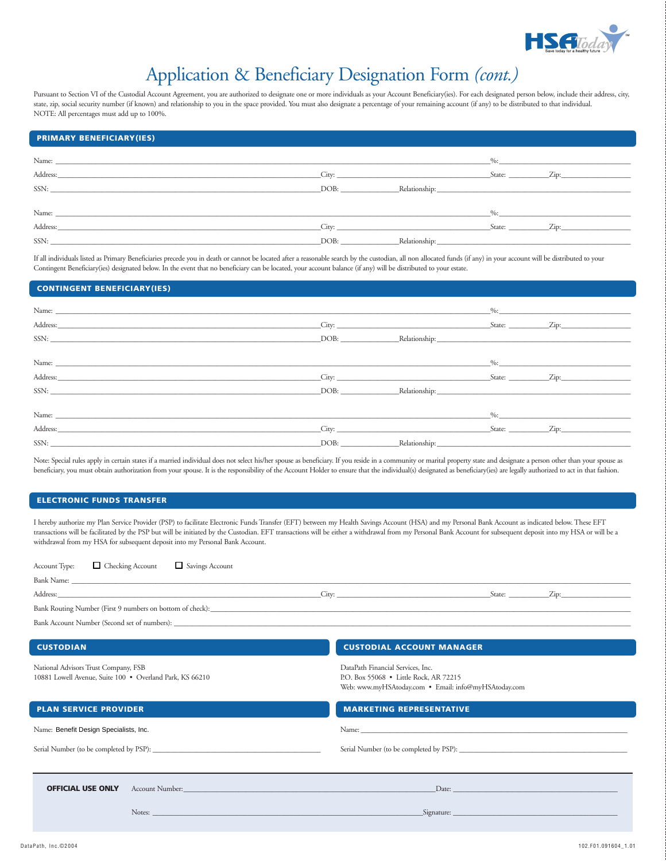

## Application & Beneficiary Designation Form *(cont.)*

Pursuant to Section VI of the Custodial Account Agreement, you are authorized to designate one or more individuals as your Account Beneficiary(ies). For each designated person below, include their address, city, state, zip, social security number (if known) and relationship to you in the space provided. You must also designate a percentage of your remaining account (if any) to be distributed to that individual. NOTE: All percentages must add up to 100%.

| <b>PRIMARY BENEFICIARY(IES)</b>                                                                                                                                                                                                                                                                                                                                                                                                                                                   |       |                                  |                        |
|-----------------------------------------------------------------------------------------------------------------------------------------------------------------------------------------------------------------------------------------------------------------------------------------------------------------------------------------------------------------------------------------------------------------------------------------------------------------------------------|-------|----------------------------------|------------------------|
|                                                                                                                                                                                                                                                                                                                                                                                                                                                                                   |       |                                  | $\%$ : $\qquad \qquad$ |
|                                                                                                                                                                                                                                                                                                                                                                                                                                                                                   |       | City:                            | State: Zip:            |
| $SSN: \begin{tabular}{@{}c@{}} \hline \multicolumn{3}{c}{} & \multicolumn{3}{c}{} & \multicolumn{3}{c}{} & \multicolumn{3}{c}{} & \multicolumn{3}{c}{} & \multicolumn{3}{c}{} & \multicolumn{3}{c}{} & \multicolumn{3}{c}{} & \multicolumn{3}{c}{} & \multicolumn{3}{c}{} & \multicolumn{3}{c}{} & \multicolumn{3}{c}{} & \multicolumn{3}{c}{} & \multicolumn{3}{c}{} & \multicolumn{3}{c}{} & \multicolumn{3}{c}{} & \multicolumn{3}{c}{} & \multicolumn{3}{c}{} & \multicolumn$ |       | DOB: Relationship: Relationship: |                        |
|                                                                                                                                                                                                                                                                                                                                                                                                                                                                                   |       |                                  |                        |
|                                                                                                                                                                                                                                                                                                                                                                                                                                                                                   |       |                                  | $\%$ :                 |
| Address:                                                                                                                                                                                                                                                                                                                                                                                                                                                                          | City: |                                  | State: Zip:            |
| SSN:                                                                                                                                                                                                                                                                                                                                                                                                                                                                              | DOB:  |                                  |                        |
|                                                                                                                                                                                                                                                                                                                                                                                                                                                                                   |       |                                  |                        |

If all individuals listed as Primary Beneficiaries precede you in death or cannot be located after a reasonable search by the custodian, all non allocated funds (if any) in your account will be distributed to your Contingent Beneficiary(ies) designated below. In the event that no beneficiary can be located, your account balance (if any) will be distributed to your estate.

## **CONTINGENT BENEFICIARY(IES)**

| Name: Name:                                                                                                                                                                                                                    |                     |                                  | $\frac{9}{6}$ :  |                                             |
|--------------------------------------------------------------------------------------------------------------------------------------------------------------------------------------------------------------------------------|---------------------|----------------------------------|------------------|---------------------------------------------|
| Address: Address: Address: Address: Address: Address: Address: Address: Address: Address: Address: Address: Address: Address: Address: Address: Address: Address: Address: Address: Address: Address: Address: Address: Addres |                     | $\frac{C}{\text{ity:}}$          | $S \text{tate:}$ | $\mathbf{Zip:}$                             |
| SSN:                                                                                                                                                                                                                           |                     |                                  |                  |                                             |
|                                                                                                                                                                                                                                |                     |                                  |                  |                                             |
|                                                                                                                                                                                                                                |                     |                                  | $\frac{9}{6}$ :  |                                             |
| Address: Address: Address: Address: Address: Address: Address: Address: Address: Address: Address: Address: Address: Address: Address: Address: Address: Address: Address: Address: Address: Address: Address: Address: Addres |                     |                                  |                  | $\text{State:}$ $\text{Zip:}$               |
| SSN:                                                                                                                                                                                                                           |                     | DOB: Relationship: Relationship: |                  |                                             |
|                                                                                                                                                                                                                                |                     |                                  |                  |                                             |
|                                                                                                                                                                                                                                |                     |                                  | $\%$ :           |                                             |
| Address: Note that the contract of the contract of the contract of the contract of the contract of the contract of the contract of the contract of the contract of the contract of the contract of the contract of the contrac | $\Box$ City: $\Box$ |                                  |                  | $\text{State:}$ $\qquad \qquad \text{Zip:}$ |
| SSN:                                                                                                                                                                                                                           |                     | DOB: Relationship: Relationship: |                  |                                             |

Note: Special rules apply in certain states if a married individual does not select his/her spouse as beneficiary. If you reside in a community or marital property state and designate a person other than your spouse as beneficiary, you must obtain authorization from your spouse. It is the responsibility of the Account Holder to ensure that the individual(s) designated as beneficiary(ies) are legally authorized to act in that fashion.

## **ELECTRONIC FUNDS TRANSFER**

I hereby authorize my Plan Service Provider (PSP) to facilitate Electronic Funds Transfer (EFT) between my Health Savings Account (HSA) and my Personal Bank Account as indicated below. These EFT transactions will be facilitated by the PSP but will be initiated by the Custodian. EFT transactions will be either a withdrawal from my Personal Bank Account for subsequent deposit into my HSA or will be a withdrawal from my HSA for subsequent deposit into my Personal Bank Account.

| $\Box$ Checking Account<br>$\Box$ Savings Account<br>Account Type:                               |                                                                                                                                     |  |  |  |
|--------------------------------------------------------------------------------------------------|-------------------------------------------------------------------------------------------------------------------------------------|--|--|--|
|                                                                                                  |                                                                                                                                     |  |  |  |
|                                                                                                  |                                                                                                                                     |  |  |  |
|                                                                                                  |                                                                                                                                     |  |  |  |
| <b>CUSTODIAN</b>                                                                                 | <b>CUSTODIAL ACCOUNT MANAGER</b>                                                                                                    |  |  |  |
| National Advisors Trust Company, FSB<br>10881 Lowell Avenue, Suite 100 · Overland Park, KS 66210 | DataPath Financial Services, Inc.<br>P.O. Box 55068 • Little Rock, AR 72215<br>Web: www.myHSAtoday.com . Email: info@myHSAtoday.com |  |  |  |
| <b>PLAN SERVICE PROVIDER</b>                                                                     | <b>MARKETING REPRESENTATIVE</b>                                                                                                     |  |  |  |
| Name: Benefit Design Specialists, Inc.                                                           |                                                                                                                                     |  |  |  |
|                                                                                                  |                                                                                                                                     |  |  |  |
| <b>OFFICIAL USE ONLY</b>                                                                         |                                                                                                                                     |  |  |  |
|                                                                                                  |                                                                                                                                     |  |  |  |